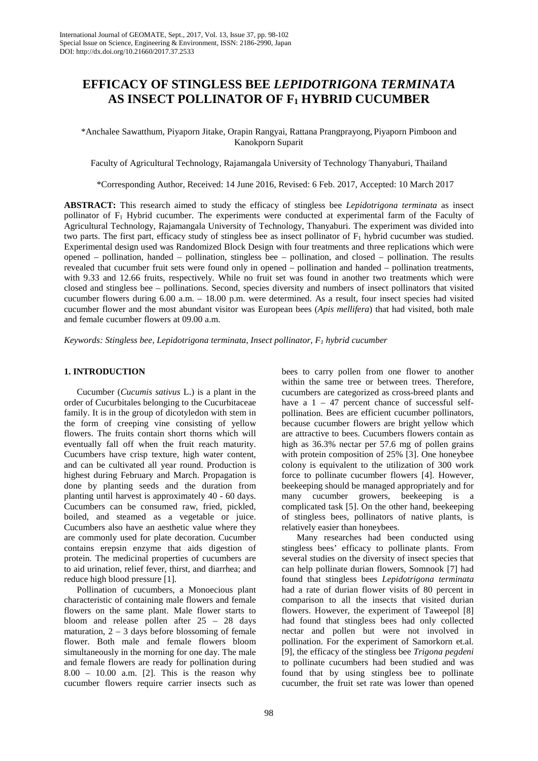# **EFFICACY OF STINGLESS BEE** *LEPIDOTRIGONA TERMINATA* **AS INSECT POLLINATOR OF F1 HYBRID CUCUMBER**

\*Anchalee Sawatthum, Piyaporn Jitake, Orapin Rangyai, Rattana Prangprayong, Piyaporn Pimboon and Kanokporn Suparit

Faculty of Agricultural Technology, Rajamangala University of Technology Thanyaburi, Thailand

\*Corresponding Author, Received: 14 June 2016, Revised: 6 Feb. 2017, Accepted: 10 March 2017

**ABSTRACT:** This research aimed to study the efficacy of stingless bee *Lepidotrigona terminata* as insect pollinator of F1 Hybrid cucumber. The experiments were conducted at experimental farm of the Faculty of Agricultural Technology, Rajamangala University of Technology, Thanyaburi. The experiment was divided into two parts. The first part, efficacy study of stingless bee as insect pollinator of  $F_1$  hybrid cucumber was studied. Experimental design used was Randomized Block Design with four treatments and three replications which were opened – pollination, handed – pollination, stingless bee – pollination, and closed – pollination. The results revealed that cucumber fruit sets were found only in opened – pollination and handed – pollination treatments, with 9.33 and 12.66 fruits, respectively. While no fruit set was found in another two treatments which were closed and stingless bee – pollinations. Second, species diversity and numbers of insect pollinators that visited cucumber flowers during 6.00 a.m. – 18.00 p.m. were determined. As a result, four insect species had visited cucumber flower and the most abundant visitor was European bees (*Apis mellifera*) that had visited, both male and female cucumber flowers at 09.00 a.m.

*Keywords: Stingless bee, Lepidotrigona terminata, Insect pollinator, F1 hybrid cucumber*

#### **1. INTRODUCTION**

Cucumber (*Cucumis sativus* L.) is a plant in the order of Cucurbitales belonging to the Cucurbitaceae family. It is in the group of dicotyledon with stem in the form of creeping vine consisting of yellow flowers. The fruits contain short thorns which will eventually fall off when the fruit reach maturity. Cucumbers have crisp texture, high water content, and can be cultivated all year round. Production is highest during February and March. Propagation is done by planting seeds and the duration from planting until harvest is approximately 40 - 60 days. Cucumbers can be consumed raw, fried, pickled, boiled, and steamed as a vegetable or juice. Cucumbers also have an aesthetic value where they are commonly used for plate decoration. Cucumber contains erepsin enzyme that aids digestion of protein. The medicinal properties of cucumbers are to aid urination, relief fever, thirst, and diarrhea; and reduce high blood pressure [1].

Pollination of cucumbers, a Monoecious plant characteristic of containing male flowers and female flowers on the same plant. Male flower starts to bloom and release pollen after 25 – 28 days maturation,  $2 - 3$  days before blossoming of female flower. Both male and female flowers bloom simultaneously in the morning for one day. The male and female flowers are ready for pollination during 8.00 – 10.00 a.m. [2]. This is the reason why cucumber flowers require carrier insects such as bees to carry pollen from one flower to another within the same tree or between trees. Therefore, cucumbers are categorized as cross-breed plants and have a  $1 - 47$  percent chance of successful selfpollination. Bees are efficient cucumber pollinators, because cucumber flowers are bright yellow which are attractive to bees. Cucumbers flowers contain as high as 36.3% nectar per 57.6 mg of pollen grains with protein composition of 25% [3]. One honeybee colony is equivalent to the utilization of 300 work force to pollinate cucumber flowers [4]. However, beekeeping should be managed appropriately and for many cucumber growers, beekeeping is a complicated task [5]. On the other hand, beekeeping of stingless bees, pollinators of native plants, is relatively easier than honeybees.

Many researches had been conducted using stingless bees' efficacy to pollinate plants. From several studies on the diversity of insect species that can help pollinate durian flowers, Somnook [7] had found that stingless bees *Lepidotrigona terminata* had a rate of durian flower visits of 80 percent in comparison to all the insects that visited durian flowers. However, the experiment of Taweepol [8] had found that stingless bees had only collected nectar and pollen but were not involved in pollination. For the experiment of Samorkorn et.al. [9], the efficacy of the stingless bee *Trigona pegdeni* to pollinate cucumbers had been studied and was found that by using stingless bee to pollinate cucumber, the fruit set rate was lower than opened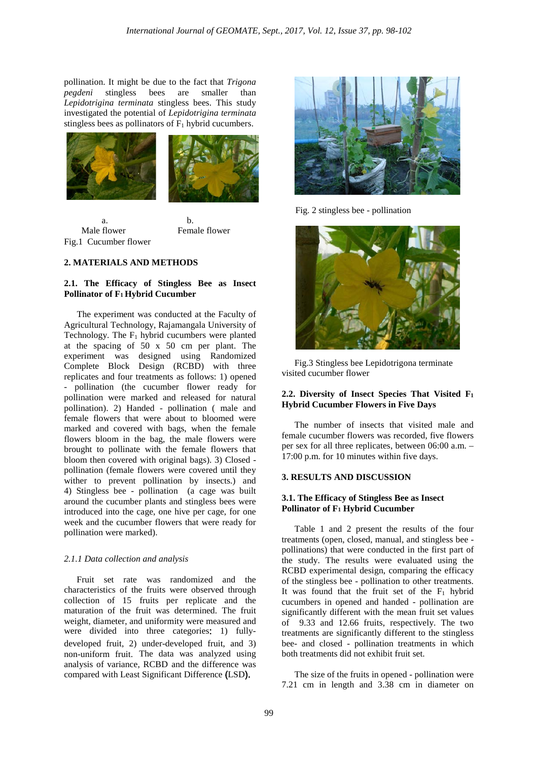pollination. It might be due to the fact that *Trigona*  bees are smaller than *Lepidotrigina terminata* stingless bees. This study investigated the potential of *Lepidotrigina terminata* stingless bees as pollinators of  $F_1$  hybrid cucumbers.



 a. b. Male flower **Female flower** Fig.1 Cucumber flower

## **2. MATERIALS AND METHODS**

### **2.1. The Efficacy of Stingless Bee as Insect Pollinator of F1 Hybrid Cucumber**

The experiment was conducted at the Faculty of Agricultural Technology, Rajamangala University of Technology. The  $F_1$  hybrid cucumbers were planted at the spacing of 50 x 50 cm per plant. The experiment was designed using Randomized Complete Block Design (RCBD) with three replicates and four treatments as follows: 1) opened - pollination (the cucumber flower ready for pollination were marked and released for natural pollination). 2) Handed - pollination ( male and female flowers that were about to bloomed were marked and covered with bags, when the female flowers bloom in the bag, the male flowers were brought to pollinate with the female flowers that bloom then covered with original bags). 3) Closed pollination (female flowers were covered until they wither to prevent pollination by insects.) and 4) Stingless bee - pollination (a cage was built around the cucumber plants and stingless bees were introduced into the cage, one hive per cage, for one week and the cucumber flowers that were ready for pollination were marked).

#### *2.1.1 Data collection and analysis*

Fruit set rate was randomized and the characteristics of the fruits were observed through collection of 15 fruits per replicate and the maturation of the fruit was determined. The fruit weight, diameter, and uniformity were measured and were divided into three categories: 1) fullydeveloped fruit, 2) under-developed fruit, and 3) non-uniform fruit. The data was analyzed using analysis of variance, RCBD and the difference was compared with Least Significant Difference (LSD).



Fig. 2 stingless bee - pollination



Fig.3 Stingless bee Lepidotrigona terminate visited cucumber flower

#### **2.2. Diversity of Insect Species That Visited F1 Hybrid Cucumber Flowers in Five Days**

The number of insects that visited male and female cucumber flowers was recorded, five flowers per sex for all three replicates, between 06:00 a.m. – 17:00 p.m. for 10 minutes within five days.

### **3. RESULTS AND DISCUSSION**

#### **3.1. The Efficacy of Stingless Bee as Insect Pollinator of F1 Hybrid Cucumber**

Table 1 and 2 present the results of the four treatments (open, closed, manual, and stingless bee pollinations) that were conducted in the first part of the study. The results were evaluated using the RCBD experimental design, comparing the efficacy of the stingless bee - pollination to other treatments. It was found that the fruit set of the  $F_1$  hybrid cucumbers in opened and handed - pollination are significantly different with the mean fruit set values of 9.33 and 12.66 fruits, respectively. The two treatments are significantly different to the stingless bee- and closed - pollination treatments in which both treatments did not exhibit fruit set.

The size of the fruits in opened - pollination were 7.21 cm in length and 3.38 cm in diameter on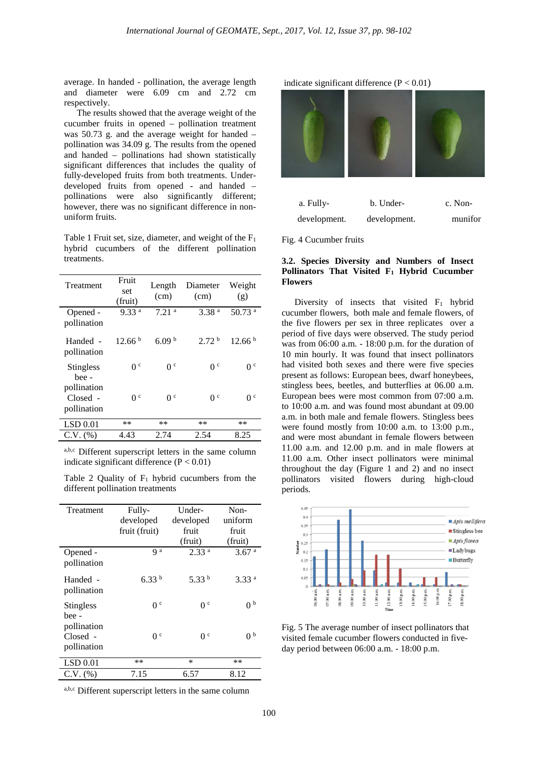average. In handed - pollination, the average length and diameter were 6.09 cm and 2.72 cm respectively.

The results showed that the average weight of the cucumber fruits in opened – pollination treatment was 50.73 g. and the average weight for handed – pollination was 34.09 g. The results from the opened and handed – pollinations had shown statistically significant differences that includes the quality of fully-developed fruits from both treatments. Underdeveloped fruits from opened - and handed – pollinations were also significantly different; however, there was no significant difference in nonuniform fruits.

Table 1 Fruit set, size, diameter, and weight of the  $F_1$ hybrid cucumbers of the different pollination treatments.

| Treatment                                | Fruit<br>set<br>(fruit) | Length<br>(cm)    | Diameter<br>(cm)  | Weight<br>(g)        |
|------------------------------------------|-------------------------|-------------------|-------------------|----------------------|
| Opened -<br>pollination                  | 9.33 <sup>a</sup>       | 7.21 <sup>a</sup> | 3.38 <sup>a</sup> | $50.73$ <sup>a</sup> |
| Handed -<br>pollination                  | 12.66 <sup>b</sup>      | 6.09 $^{\rm b}$   | 2.72 <sup>b</sup> | 12.66 <sup>b</sup>   |
| <b>Stingless</b><br>hee -<br>pollination | 0 <sup>c</sup>          | 0 <sup>c</sup>    | 0 <sup>c</sup>    | 0 <sup>c</sup>       |
| Closed -<br>pollination                  | 0 <sup>c</sup>          | 0 <sup>c</sup>    | 0 <sup>c</sup>    | 0 <sup>c</sup>       |
| LSD 0.01                                 | $**$                    | $**$              | $**$              | $***$                |
| $C.V.$ $(\%)$                            | 4.43                    | 2.74              | 2.54              | 8.25                 |

a,b,c Different superscript letters in the same column indicate significant difference  $(P < 0.01)$ 

Table 2 Quality of  $F_1$  hybrid cucumbers from the different pollination treatments

| Treatment                              | Fully-            | Under-            | Non-              |
|----------------------------------------|-------------------|-------------------|-------------------|
|                                        | developed         | developed         | uniform           |
|                                        | fruit (fruit)     | fruit             | fruit             |
|                                        |                   | (fruit)           | (fruit)           |
| Opened -<br>pollination                | q a               | 2.33 <sup>a</sup> | 3.67 <sup>a</sup> |
| Handed -<br>pollination                | 6.33 <sup>b</sup> | 5.33 $^{\rm b}$   | 3.33 <sup>a</sup> |
| <b>Stingless</b><br>bee -              | 0 <sup>c</sup>    | 0 <sup>c</sup>    | 0 <sup>b</sup>    |
| pollination<br>Closed -<br>pollination | 0 <sup>c</sup>    | 0 <sup>c</sup>    | 0 <sup>b</sup>    |
| LSD 0.01                               | $**$              | $\ast$            | $**$              |
| $C.V.$ $(\%)$                          | 7.15              | 6.57              | 8.12              |

a,b,c Different superscript letters in the same column

indicate significant difference  $(P < 0.01)$ 



Fig. 4 Cucumber fruits

### **3.2. Species Diversity and Numbers of Insect Pollinators That Visited F1 Hybrid Cucumber Flowers**

Diversity of insects that visited  $F_1$  hybrid cucumber flowers, both male and female flowers, of the five flowers per sex in three replicates over a period of five days were observed. The study period was from 06:00 a.m. - 18:00 p.m. for the duration of 10 min hourly. It was found that insect pollinators had visited both sexes and there were five species present as follows: European bees, dwarf honeybees, stingless bees, beetles, and butterflies at 06.00 a.m. European bees were most common from 07:00 a.m. to 10:00 a.m. and was found most abundant at 09.00 a.m. in both male and female flowers. Stingless bees were found mostly from 10:00 a.m. to 13:00 p.m., and were most abundant in female flowers between 11.00 a.m. and 12.00 p.m. and in male flowers at 11.00 a.m. Other insect pollinators were minimal throughout the day (Figure 1 and 2) and no insect pollinators visited flowers during high-cloud periods.



Fig. 5 The average number of insect pollinators that visited female cucumber flowers conducted in fiveday period between 06:00 a.m. - 18:00 p.m.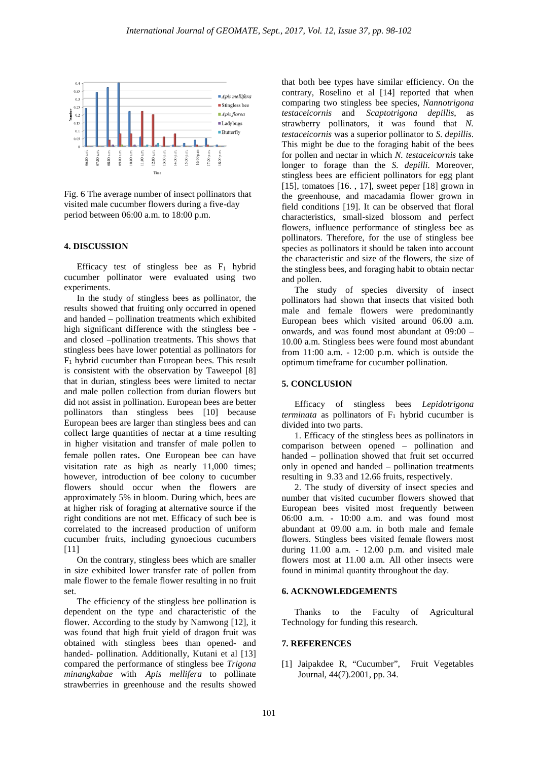

Fig. 6 The average number of insect pollinators that visited male cucumber flowers during a five-day period between 06:00 a.m. to 18:00 p.m.

#### **4. DISCUSSION**

Efficacy test of stingless bee as  $F_1$  hybrid cucumber pollinator were evaluated using two experiments.

In the study of stingless bees as pollinator, the results showed that fruiting only occurred in opened and handed – pollination treatments which exhibited high significant difference with the stingless bee and closed –pollination treatments. This shows that stingless bees have lower potential as pollinators for  $F_1$  hybrid cucumber than European bees. This result is consistent with the observation by Taweepol [8] that in durian, stingless bees were limited to nectar and male pollen collection from durian flowers but did not assist in pollination. European bees are better pollinators than stingless bees [10] because European bees are larger than stingless bees and can collect large quantities of nectar at a time resulting in higher visitation and transfer of male pollen to female pollen rates. One European bee can have visitation rate as high as nearly 11,000 times; however, introduction of bee colony to cucumber flowers should occur when the flowers are approximately 5% in bloom. During which, bees are at higher risk of foraging at alternative source if the right conditions are not met. Efficacy of such bee is correlated to the increased production of uniform cucumber fruits, including gynoecious cucumbers  $[11]$ 

On the contrary, stingless bees which are smaller in size exhibited lower transfer rate of pollen from male flower to the female flower resulting in no fruit set.

The efficiency of the stingless bee pollination is dependent on the type and characteristic of the flower. According to the study by Namwong [12], it was found that high fruit yield of dragon fruit was obtained with stingless bees than opened- and handed- pollination. Additionally, Kutani et al [13] compared the performance of stingless bee *Trigona minangkabae* with *Apis mellifera* to pollinate strawberries in greenhouse and the results showed that both bee types have similar efficiency. On the contrary, Roselino et al [14] reported that when comparing two stingless bee species, *Nannotrigona testaceicornis* and *Scaptotrigona depillis*, as strawberry pollinators, it was found that *N. testaceicornis* was a superior pollinator to *S. depillis*. This might be due to the foraging habit of the bees for pollen and nectar in which *N. testaceicornis* take longer to forage than the *S. depilli*. Moreover, stingless bees are efficient pollinators for egg plant [15], tomatoes [16. , 17], sweet peper [18] grown in the greenhouse, and macadamia flower grown in field conditions [19]. It can be observed that floral characteristics, small-sized blossom and perfect flowers, influence performance of stingless bee as pollinators. Therefore, for the use of stingless bee species as pollinators it should be taken into account the characteristic and size of the flowers, the size of the stingless bees, and foraging habit to obtain nectar and pollen.

The study of species diversity of insect pollinators had shown that insects that visited both male and female flowers were predominantly European bees which visited around 06.00 a.m. onwards, and was found most abundant at 09:00 – 10.00 a.m. Stingless bees were found most abundant from 11:00 a.m. - 12:00 p.m. which is outside the optimum timeframe for cucumber pollination.

#### **5. CONCLUSION**

Efficacy of stingless bees *Lepidotrigona terminata* as pollinators of  $F_1$  hybrid cucumber is divided into two parts.

1. Efficacy of the stingless bees as pollinators in comparison between opened – pollination and handed – pollination showed that fruit set occurred only in opened and handed – pollination treatments resulting in 9.33 and 12.66 fruits, respectively.

2. The study of diversity of insect species and number that visited cucumber flowers showed that European bees visited most frequently between 06:00 a.m. - 10:00 a.m. and was found most abundant at 09.00 a.m. in both male and female flowers. Stingless bees visited female flowers most during 11.00 a.m. - 12.00 p.m. and visited male flowers most at 11.00 a.m. All other insects were found in minimal quantity throughout the day.

#### **6. ACKNOWLEDGEMENTS**

Thanks to the Faculty of Agricultural Technology for funding this research.

#### **7. REFERENCES**

[1] Jaipakdee R, "Cucumber", Fruit Vegetables Journal, 44(7).2001, pp. 34.